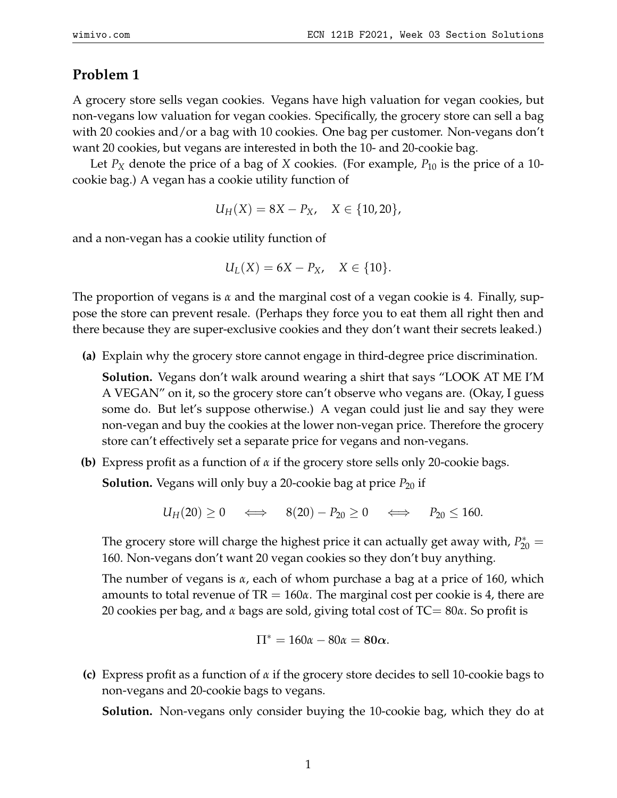## **Problem 1**

A grocery store sells vegan cookies. Vegans have high valuation for vegan cookies, but non-vegans low valuation for vegan cookies. Specifically, the grocery store can sell a bag with 20 cookies and/or a bag with 10 cookies. One bag per customer. Non-vegans don't want 20 cookies, but vegans are interested in both the 10- and 20-cookie bag.

Let *P<sub>X</sub>* denote the price of a bag of *X* cookies. (For example, *P*<sub>10</sub> is the price of a 10cookie bag.) A vegan has a cookie utility function of

$$
U_H(X) = 8X - P_X, \quad X \in \{10, 20\},
$$

and a non-vegan has a cookie utility function of

$$
U_L(X) = 6X - P_X, \quad X \in \{10\}.
$$

The proportion of vegans is *α* and the marginal cost of a vegan cookie is 4. Finally, suppose the store can prevent resale. (Perhaps they force you to eat them all right then and there because they are super-exclusive cookies and they don't want their secrets leaked.)

**(a)** Explain why the grocery store cannot engage in third-degree price discrimination.

**Solution.** Vegans don't walk around wearing a shirt that says "LOOK AT ME I'M A VEGAN" on it, so the grocery store can't observe who vegans are. (Okay, I guess some do. But let's suppose otherwise.) A vegan could just lie and say they were non-vegan and buy the cookies at the lower non-vegan price. Therefore the grocery store can't effectively set a separate price for vegans and non-vegans.

**(b)** Express profit as a function of *α* if the grocery store sells only 20-cookie bags.

**Solution.** Vegans will only buy a 20-cookie bag at price  $P_{20}$  if

$$
U_H(20) \ge 0 \quad \iff \quad 8(20) - P_{20} \ge 0 \quad \iff \quad P_{20} \le 160.
$$

The grocery store will charge the highest price it can actually get away with,  $P_{20}^* =$ 160. Non-vegans don't want 20 vegan cookies so they don't buy anything.

The number of vegans is *α*, each of whom purchase a bag at a price of 160, which amounts to total revenue of TR = 160*α*. The marginal cost per cookie is 4, there are 20 cookies per bag, and *α* bags are sold, giving total cost of TC= 80*α*. So profit is

$$
\Pi^* = 160\alpha - 80\alpha = 80\alpha.
$$

**(c)** Express profit as a function of *α* if the grocery store decides to sell 10-cookie bags to non-vegans and 20-cookie bags to vegans.

**Solution.** Non-vegans only consider buying the 10-cookie bag, which they do at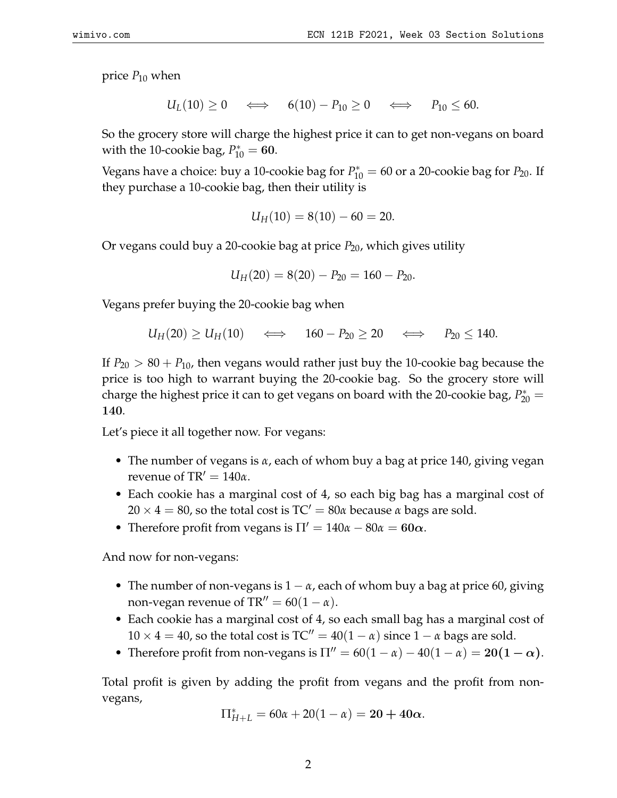price  $P_{10}$  when

 $U_L(10) \geq 0 \iff 6(10) - P_{10} \geq 0 \iff P_{10} \leq 60.$ 

So the grocery store will charge the highest price it can to get non-vegans on board with the 10-cookie bag,  $P_{10}^* = 60$ .

Vegans have a choice: buy a 10-cookie bag for  $P_{10}^* = 60$  or a 20-cookie bag for  $P_{20}$ . If they purchase a 10-cookie bag, then their utility is

$$
U_H(10) = 8(10) - 60 = 20.
$$

Or vegans could buy a 20-cookie bag at price  $P_{20}$ , which gives utility

$$
U_H(20) = 8(20) - P_{20} = 160 - P_{20}.
$$

Vegans prefer buying the 20-cookie bag when

$$
U_H(20) \geq U_H(10) \quad \iff \quad 160 - P_{20} \geq 20 \quad \iff \quad P_{20} \leq 140.
$$

If  $P_{20} > 80 + P_{10}$ , then vegans would rather just buy the 10-cookie bag because the price is too high to warrant buying the 20-cookie bag. So the grocery store will charge the highest price it can to get vegans on board with the 20-cookie bag,  $P_{20}^* =$ 140.

Let's piece it all together now. For vegans:

- The number of vegans is *α*, each of whom buy a bag at price 140, giving vegan revenue of TR $' = 140\alpha$ .
- Each cookie has a marginal cost of 4, so each big bag has a marginal cost of  $20 \times 4 = 80$ , so the total cost is TC' =  $80\alpha$  because  $\alpha$  bags are sold.
- Therefore profit from vegans is  $\Pi' = 140\alpha 80\alpha = 60\alpha$ .

And now for non-vegans:

- The number of non-vegans is 1 − *α*, each of whom buy a bag at price 60, giving non-vegan revenue of  $TR'' = 60(1 - \alpha)$ .
- Each cookie has a marginal cost of 4, so each small bag has a marginal cost of  $10 \times 4 = 40$ , so the total cost is  $TC'' = 40(1 - \alpha)$  since  $1 - \alpha$  bags are sold.
- Therefore profit from non-vegans is  $\Pi'' = 60(1 \alpha) 40(1 \alpha) = 20(1 \alpha)$ .

Total profit is given by adding the profit from vegans and the profit from nonvegans,

$$
\Pi_{H+L}^* = 60\alpha + 20(1 - \alpha) = 20 + 40\alpha.
$$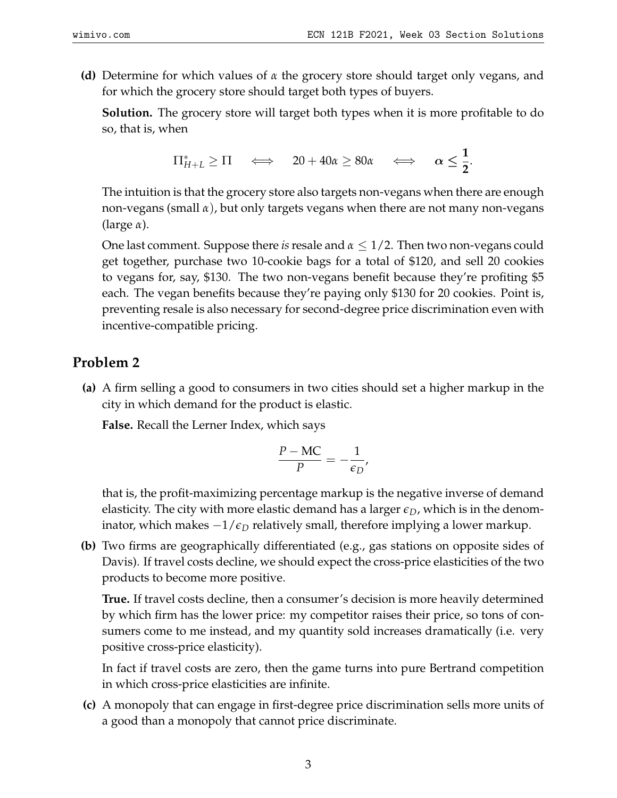**(d)** Determine for which values of *α* the grocery store should target only vegans, and for which the grocery store should target both types of buyers.

**Solution.** The grocery store will target both types when it is more profitable to do so, that is, when

$$
\Pi_{H+L}^* \geq \Pi \iff 20 + 40\alpha \geq 80\alpha \iff \alpha \leq \frac{1}{2}.
$$

The intuition is that the grocery store also targets non-vegans when there are enough non-vegans (small *α*), but only targets vegans when there are not many non-vegans (large *α*).

One last comment. Suppose there *is*resale and *α* ≤ 1/2. Then two non-vegans could get together, purchase two 10-cookie bags for a total of \$120, and sell 20 cookies to vegans for, say, \$130. The two non-vegans benefit because they're profiting \$5 each. The vegan benefits because they're paying only \$130 for 20 cookies. Point is, preventing resale is also necessary for second-degree price discrimination even with incentive-compatible pricing.

## **Problem 2**

**(a)** A firm selling a good to consumers in two cities should set a higher markup in the city in which demand for the product is elastic.

**False.** Recall the Lerner Index, which says

$$
\frac{P - \text{MC}}{P} = -\frac{1}{\epsilon_D},
$$

that is, the profit-maximizing percentage markup is the negative inverse of demand elasticity. The city with more elastic demand has a larger  $\epsilon_D$ , which is in the denominator, which makes −1/*ϵ<sup>D</sup>* relatively small, therefore implying a lower markup.

**(b)** Two firms are geographically differentiated (e.g., gas stations on opposite sides of Davis). If travel costs decline, we should expect the cross-price elasticities of the two products to become more positive.

**True.** If travel costs decline, then a consumer's decision is more heavily determined by which firm has the lower price: my competitor raises their price, so tons of consumers come to me instead, and my quantity sold increases dramatically (i.e. very positive cross-price elasticity).

In fact if travel costs are zero, then the game turns into pure Bertrand competition in which cross-price elasticities are infinite.

**(c)** A monopoly that can engage in first-degree price discrimination sells more units of a good than a monopoly that cannot price discriminate.